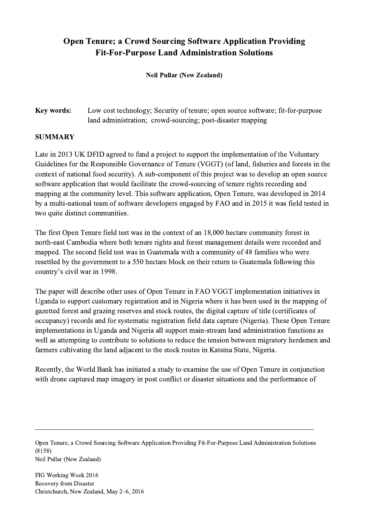## Open Tenure; a Crowd Sourcing Software Application Providing Fit-For-Purpose Land Administration Solutions

Neil Pullar (New Zealand)

Key words: Low cost technology; Security of tenure; open source software; fit-for-purpose land administration; crowd-sourcing; post-disaster mapping

## SUMMARY

Late in 2013 UK DFID agreed to fund a project to support the implementation of the Voluntary Guidelines for the Responsible Governance of Tenure (VGGT) (of land, fisheries and forests in the context of national food security). A sub-component of this project was to develop an open source software application that would facilitate the crowd-sourcing of tenure rights recording and mapping at the community level. This software application, Open Tenure, was developed in 2014 by a multi-national team of software developers engaged by FAO and in 2015 it was field tested in two quite distinct communities.

The first Open Tenure field test was in the context of an 18,000 hectare community forest in north-east Cambodia where both tenure rights and forest management details were recorded and mapped. The second field test was in Guatemala with a community of 48 families who were resettled by the government to a 550 hectare block on their return to Guatemala following this country's civil war in 1998.

The paper will describe other uses of Open Tenure in FAO VGGT implementation initiatives in Uganda to support customary registration and in Nigeria where it has been used in the mapping of gazetted forest and grazing reserves and stock routes, the digital capture of title (certificates of occupancy) records and for systematic registration field data capture (Nigeria). These Open Tenure implementations in Uganda and Nigeria all support main-stream land administration functions as well as attempting to contribute to solutions to reduce the tension between migratory herdsmen and farmers cultivating the land adjacent to the stock routes in Katsina State, Nigeria.

Recently, the World Bank has initiated a study to examine the use of Open Tenure in conjunction with drone captured map imagery in post conflict or disaster situations and the performance of

Open Tenure; a Crowd Sourcing Software Application Providing Fit-For-Purpose Land Administration Solutions (8158) Neil Pullar (New Zealand)

 $\mathcal{L}_\mathcal{L} = \{ \mathcal{L}_\mathcal{L} = \{ \mathcal{L}_\mathcal{L} = \{ \mathcal{L}_\mathcal{L} = \{ \mathcal{L}_\mathcal{L} = \{ \mathcal{L}_\mathcal{L} = \{ \mathcal{L}_\mathcal{L} = \{ \mathcal{L}_\mathcal{L} = \{ \mathcal{L}_\mathcal{L} = \{ \mathcal{L}_\mathcal{L} = \{ \mathcal{L}_\mathcal{L} = \{ \mathcal{L}_\mathcal{L} = \{ \mathcal{L}_\mathcal{L} = \{ \mathcal{L}_\mathcal{L} = \{ \mathcal{L}_\mathcal{$ 

FIG Working Week 2016 Recovery from Disaster Christchurch, New Zealand, May 2–6, 2016